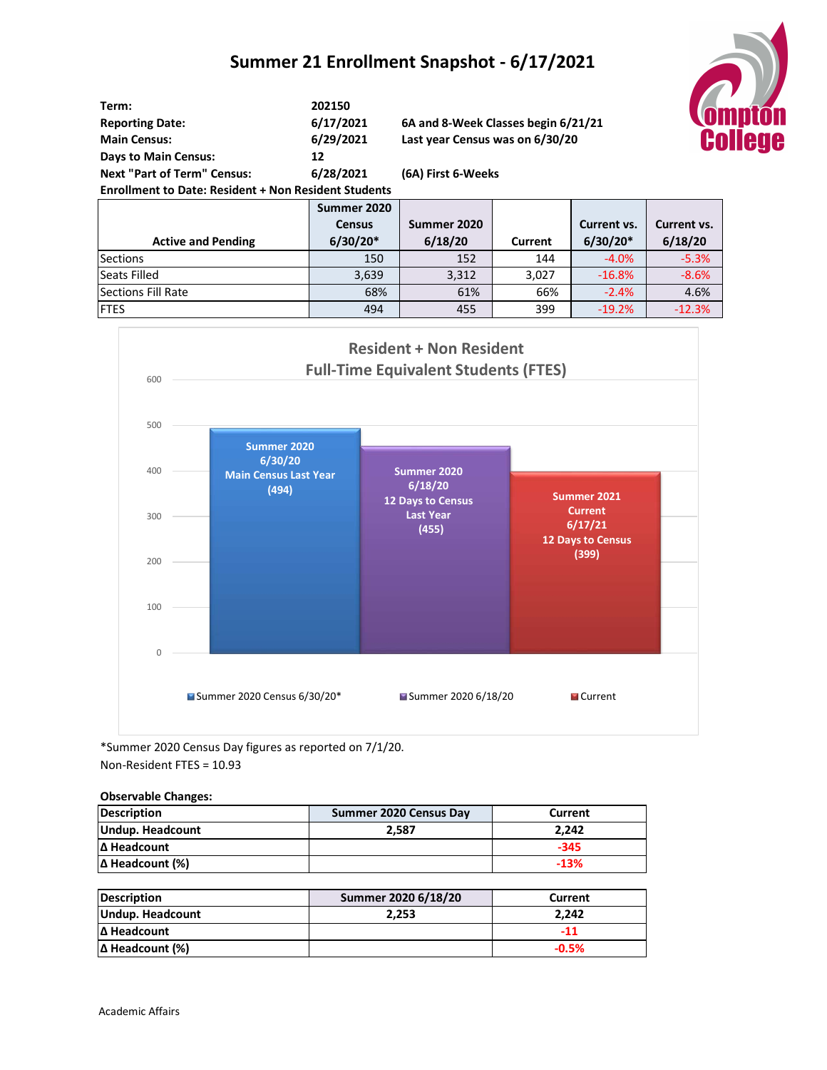### **Summer 21 Enrollment Snapshot - 6/17/2021**



| Term:                                                       | 202150        |                                     |                |             |                    |
|-------------------------------------------------------------|---------------|-------------------------------------|----------------|-------------|--------------------|
| <b>Reporting Date:</b>                                      | 6/17/2021     | 6A and 8-Week Classes begin 6/21/21 |                |             |                    |
| <b>Main Census:</b>                                         | 6/29/2021     | Last year Census was on 6/30/20     |                |             |                    |
| <b>Days to Main Census:</b>                                 | 12            |                                     |                |             |                    |
| <b>Next "Part of Term" Census:</b>                          | 6/28/2021     | (6A) First 6-Weeks                  |                |             |                    |
| <b>Enrollment to Date: Resident + Non Resident Students</b> |               |                                     |                |             |                    |
|                                                             | Summer 2020   |                                     |                |             |                    |
|                                                             | <b>Census</b> | Summer 2020                         |                | Current vs. | <b>Current vs.</b> |
| <b>Active and Pending</b>                                   | $6/30/20*$    | 6/18/20                             | <b>Current</b> | $6/30/20*$  | 6/18/20            |
| <b>Sections</b>                                             | 150           | 152                                 | 144            | $-4.0%$     | $-5.3%$            |
| Seats Filled                                                | 3,639         | 3,312                               | 3,027          | $-16.8%$    | $-8.6%$            |
| Sections Fill Rate                                          | 68%           | 61%                                 | 66%            | $-2.4%$     | 4.6%               |



\*Summer 2020 Census Day figures as reported on 7/1/20. Non-Resident FTES = 10.93

#### **Observable Changes:**

| <b>Description</b>     | Summer 2020 Census Day | Current |
|------------------------|------------------------|---------|
| Undup. Headcount       | 2.587                  | 2.242   |
| Δ Headcount            |                        | $-345$  |
| $\Delta$ Headcount (%) |                        | $-13%$  |

| <b>Description</b>     | Summer 2020 6/18/20 | Current |
|------------------------|---------------------|---------|
| Undup. Headcount       | 2.253               | 2.242   |
| Δ Headcount            |                     | -11     |
| $\Delta$ Headcount (%) |                     | $-0.5%$ |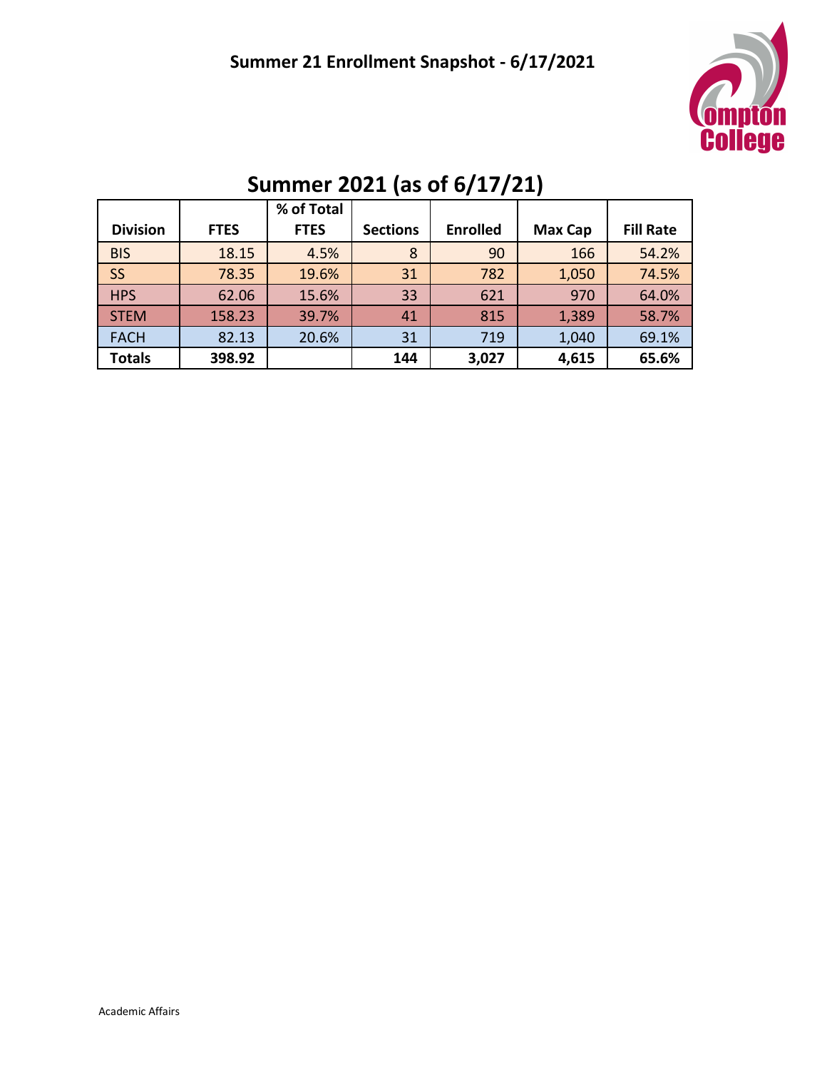

|                 |             | % of Total  |                 |                 |         |                  |
|-----------------|-------------|-------------|-----------------|-----------------|---------|------------------|
| <b>Division</b> | <b>FTES</b> | <b>FTES</b> | <b>Sections</b> | <b>Enrolled</b> | Max Cap | <b>Fill Rate</b> |
| <b>BIS</b>      | 18.15       | 4.5%        | 8               | 90              | 166     | 54.2%            |
| <b>SS</b>       | 78.35       | 19.6%       | 31              | 782             | 1,050   | 74.5%            |
| <b>HPS</b>      | 62.06       | 15.6%       | 33              | 621             | 970     | 64.0%            |
| <b>STEM</b>     | 158.23      | 39.7%       | 41              | 815             | 1,389   | 58.7%            |
| <b>FACH</b>     | 82.13       | 20.6%       | 31              | 719             | 1,040   | 69.1%            |
| <b>Totals</b>   | 398.92      |             | 144             | 3,027           | 4,615   | 65.6%            |

# **Summer 2021 (as of 6/17/21)**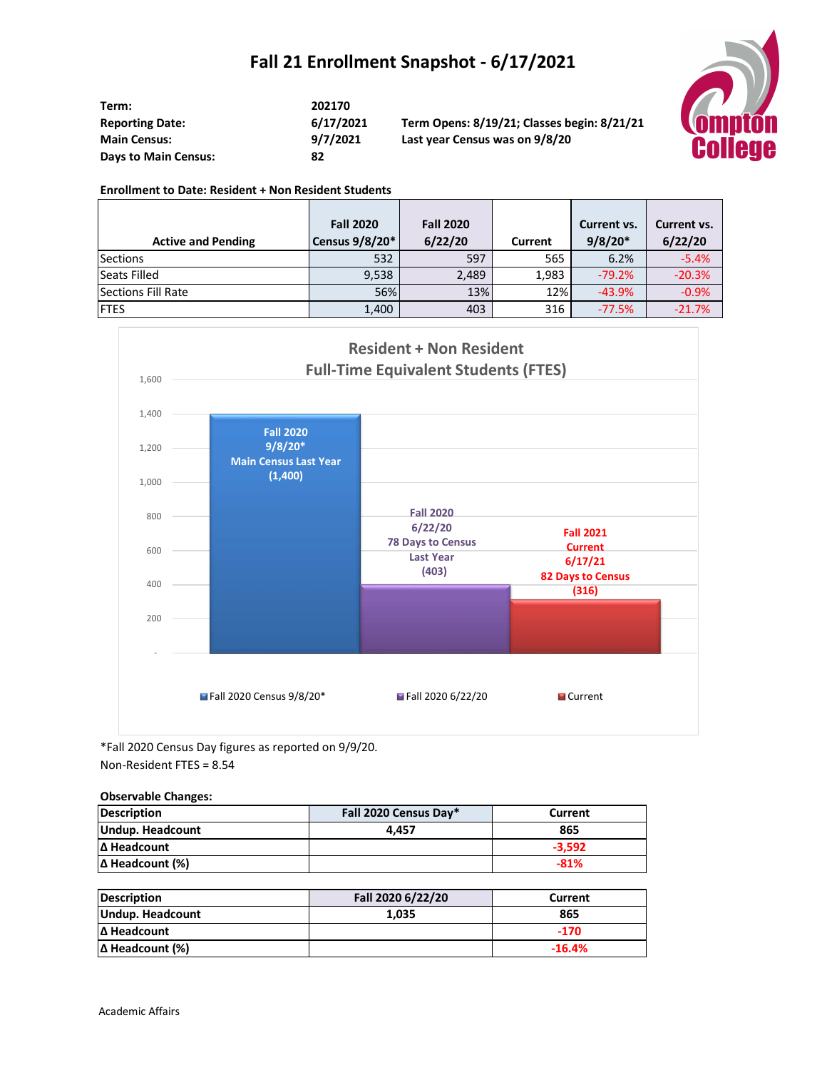### **Fall 21 Enrollment Snapshot - 6/17/2021**

| Term:                       | 202170   |
|-----------------------------|----------|
| <b>Reporting Date:</b>      | 6/17/202 |
| <b>Main Census:</b>         | 9/7/2021 |
| <b>Days to Main Census:</b> | 82       |

**Reporting Date: 6/17/2021 Term Opens: 8/19/21; Classes begin: 8/21/21 Main Census: 9/7/2021 Last year Census was on 9/8/20**



#### **Enrollment to Date: Resident + Non Resident Students**

|                           | <b>Fall 2020</b> | <b>Fall 2020</b> |         | Current vs. | Current vs. |
|---------------------------|------------------|------------------|---------|-------------|-------------|
| <b>Active and Pending</b> | Census 9/8/20*   | 6/22/20          | Current | $9/8/20*$   | 6/22/20     |
| <b>Sections</b>           | 532              | 597              | 565     | 6.2%        | $-5.4%$     |
| <b>Seats Filled</b>       | 9,538            | 2,489            | 1,983   | $-79.2%$    | $-20.3%$    |
| Sections Fill Rate        | 56%              | 13%              | 12%     | $-43.9%$    | $-0.9%$     |
| <b>FTES</b>               | 1,400            | 403              | 316     | $-77.5%$    | $-21.7%$    |



\*Fall 2020 Census Day figures as reported on 9/9/20. Non-Resident FTES = 8.54

### **Observable Changes:**

| <b>Description</b>     | Fall 2020 Census Day* | Current  |
|------------------------|-----------------------|----------|
| Undup. Headcount       | 4.457                 | 865      |
| Δ Headcount            |                       | $-3.592$ |
| $\Delta$ Headcount (%) |                       | $-81%$   |

| <b>Description</b>     | Fall 2020 6/22/20 | Current  |
|------------------------|-------------------|----------|
| Undup. Headcount       | 1.035             | 865      |
| Δ Headcount            |                   | $-170$   |
| $\Delta$ Headcount (%) |                   | $-16.4%$ |